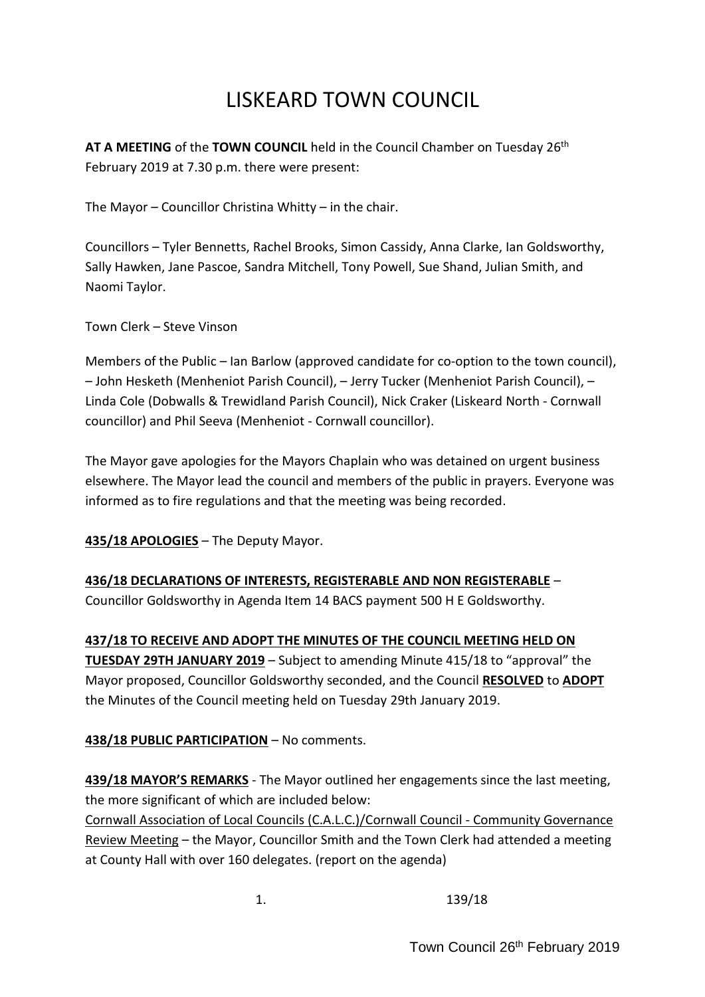# LISKEARD TOWN COUNCIL

AT A MEETING of the TOWN COUNCIL held in the Council Chamber on Tuesday 26<sup>th</sup> February 2019 at 7.30 p.m. there were present:

The Mayor – Councillor Christina Whitty – in the chair.

Councillors – Tyler Bennetts, Rachel Brooks, Simon Cassidy, Anna Clarke, Ian Goldsworthy, Sally Hawken, Jane Pascoe, Sandra Mitchell, Tony Powell, Sue Shand, Julian Smith, and Naomi Taylor.

Town Clerk – Steve Vinson

Members of the Public – Ian Barlow (approved candidate for co-option to the town council), – John Hesketh (Menheniot Parish Council), – Jerry Tucker (Menheniot Parish Council), – Linda Cole (Dobwalls & Trewidland Parish Council), Nick Craker (Liskeard North - Cornwall councillor) and Phil Seeva (Menheniot - Cornwall councillor).

The Mayor gave apologies for the Mayors Chaplain who was detained on urgent business elsewhere. The Mayor lead the council and members of the public in prayers. Everyone was informed as to fire regulations and that the meeting was being recorded.

**435/18 APOLOGIES** – The Deputy Mayor.

### **436/18 DECLARATIONS OF INTERESTS, REGISTERABLE AND NON REGISTERABLE** –

Councillor Goldsworthy in Agenda Item 14 BACS payment 500 H E Goldsworthy.

**437/18 TO RECEIVE AND ADOPT THE MINUTES OF THE COUNCIL MEETING HELD ON TUESDAY 29TH JANUARY 2019** – Subject to amending Minute 415/18 to "approval" the Mayor proposed, Councillor Goldsworthy seconded, and the Council **RESOLVED** to **ADOPT** the Minutes of the Council meeting held on Tuesday 29th January 2019.

### **438/18 PUBLIC PARTICIPATION** – No comments.

**439/18 MAYOR'S REMARKS** - The Mayor outlined her engagements since the last meeting, the more significant of which are included below:

Cornwall Association of Local Councils (C.A.L.C.)/Cornwall Council - Community Governance Review Meeting – the Mayor, Councillor Smith and the Town Clerk had attended a meeting at County Hall with over 160 delegates. (report on the agenda)

1. 139/18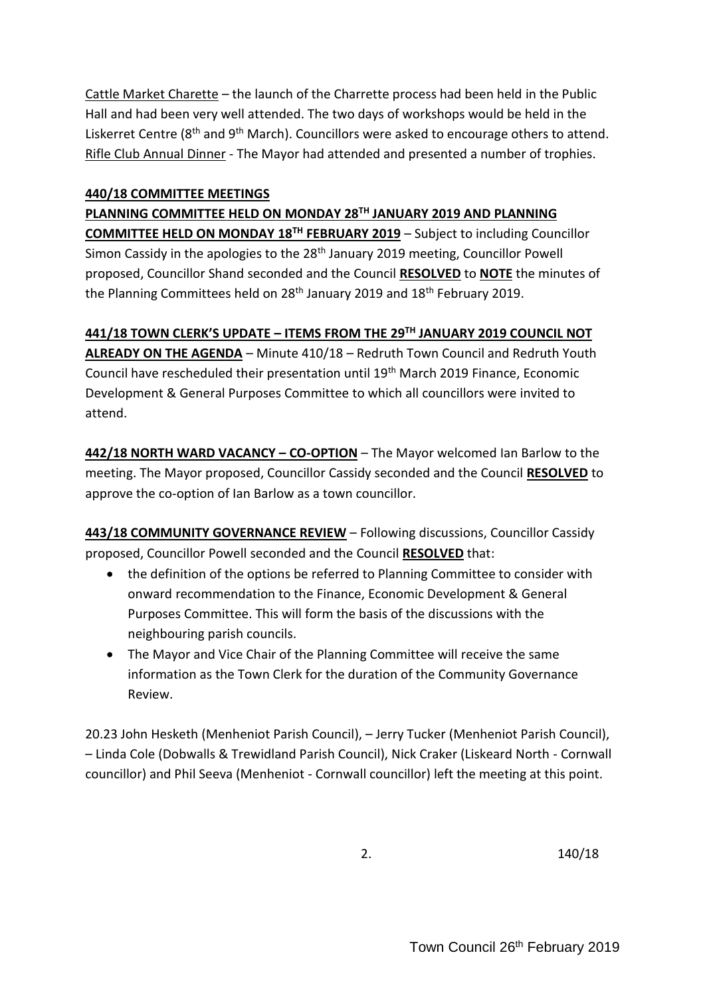Cattle Market Charette – the launch of the Charrette process had been held in the Public Hall and had been very well attended. The two days of workshops would be held in the Liskerret Centre (8<sup>th</sup> and 9<sup>th</sup> March). Councillors were asked to encourage others to attend. Rifle Club Annual Dinner - The Mayor had attended and presented a number of trophies.

### **440/18 COMMITTEE MEETINGS**

**PLANNING COMMITTEE HELD ON MONDAY 28TH JANUARY 2019 AND PLANNING COMMITTEE HELD ON MONDAY 18TH FEBRUARY 2019** – Subject to including Councillor Simon Cassidy in the apologies to the 28<sup>th</sup> January 2019 meeting, Councillor Powell proposed, Councillor Shand seconded and the Council **RESOLVED** to **NOTE** the minutes of the Planning Committees held on  $28<sup>th</sup>$  January 2019 and  $18<sup>th</sup>$  February 2019.

**441/18 TOWN CLERK'S UPDATE – ITEMS FROM THE 29TH JANUARY 2019 COUNCIL NOT ALREADY ON THE AGENDA** – Minute 410/18 – Redruth Town Council and Redruth Youth Council have rescheduled their presentation until 19th March 2019 Finance, Economic Development & General Purposes Committee to which all councillors were invited to attend.

**442/18 NORTH WARD VACANCY – CO-OPTION** – The Mayor welcomed Ian Barlow to the meeting. The Mayor proposed, Councillor Cassidy seconded and the Council **RESOLVED** to approve the co-option of Ian Barlow as a town councillor.

**443/18 COMMUNITY GOVERNANCE REVIEW** – Following discussions, Councillor Cassidy proposed, Councillor Powell seconded and the Council **RESOLVED** that:

- the definition of the options be referred to Planning Committee to consider with onward recommendation to the Finance, Economic Development & General Purposes Committee. This will form the basis of the discussions with the neighbouring parish councils.
- The Mayor and Vice Chair of the Planning Committee will receive the same information as the Town Clerk for the duration of the Community Governance Review.

20.23 John Hesketh (Menheniot Parish Council), – Jerry Tucker (Menheniot Parish Council), – Linda Cole (Dobwalls & Trewidland Parish Council), Nick Craker (Liskeard North - Cornwall councillor) and Phil Seeva (Menheniot - Cornwall councillor) left the meeting at this point.

2. 140/18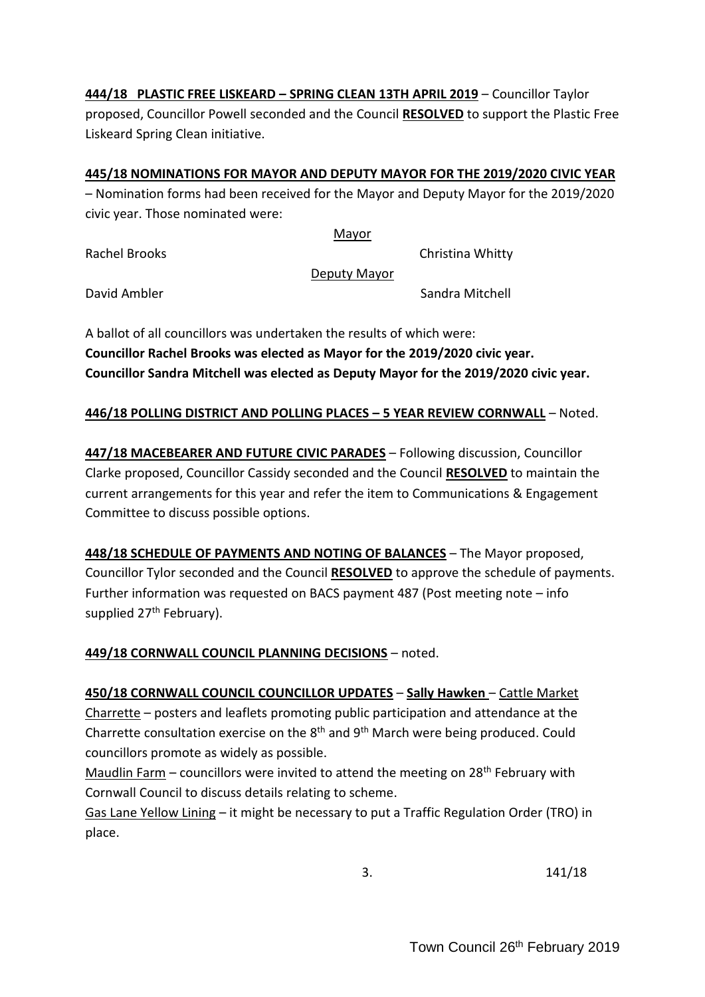**444/18 PLASTIC FREE LISKEARD – SPRING CLEAN 13TH APRIL 2019** – Councillor Taylor proposed, Councillor Powell seconded and the Council **RESOLVED** to support the Plastic Free Liskeard Spring Clean initiative.

## **445/18 NOMINATIONS FOR MAYOR AND DEPUTY MAYOR FOR THE 2019/2020 CIVIC YEAR**

– Nomination forms had been received for the Mayor and Deputy Mayor for the 2019/2020 civic year. Those nominated were:

Mayor

Rachel Brooks **Christina Whitty** 

Deputy Mayor

David Ambler Sandra Mitchell

A ballot of all councillors was undertaken the results of which were: **Councillor Rachel Brooks was elected as Mayor for the 2019/2020 civic year. Councillor Sandra Mitchell was elected as Deputy Mayor for the 2019/2020 civic year.** 

## **446/18 POLLING DISTRICT AND POLLING PLACES – 5 YEAR REVIEW CORNWALL** – Noted.

**447/18 MACEBEARER AND FUTURE CIVIC PARADES** – Following discussion, Councillor Clarke proposed, Councillor Cassidy seconded and the Council **RESOLVED** to maintain the current arrangements for this year and refer the item to Communications & Engagement Committee to discuss possible options.

**448/18 SCHEDULE OF PAYMENTS AND NOTING OF BALANCES** – The Mayor proposed, Councillor Tylor seconded and the Council **RESOLVED** to approve the schedule of payments. Further information was requested on BACS payment 487 (Post meeting note – info supplied 27<sup>th</sup> February).

# **449/18 CORNWALL COUNCIL PLANNING DECISIONS** – noted.

**450/18 CORNWALL COUNCIL COUNCILLOR UPDATES** – **Sally Hawken** – Cattle Market Charrette – posters and leaflets promoting public participation and attendance at the Charrette consultation exercise on the  $8<sup>th</sup>$  and  $9<sup>th</sup>$  March were being produced. Could councillors promote as widely as possible.

Maudlin Farm – councillors were invited to attend the meeting on  $28<sup>th</sup>$  February with Cornwall Council to discuss details relating to scheme.

Gas Lane Yellow Lining – it might be necessary to put a Traffic Regulation Order (TRO) in place.

3. 141/18